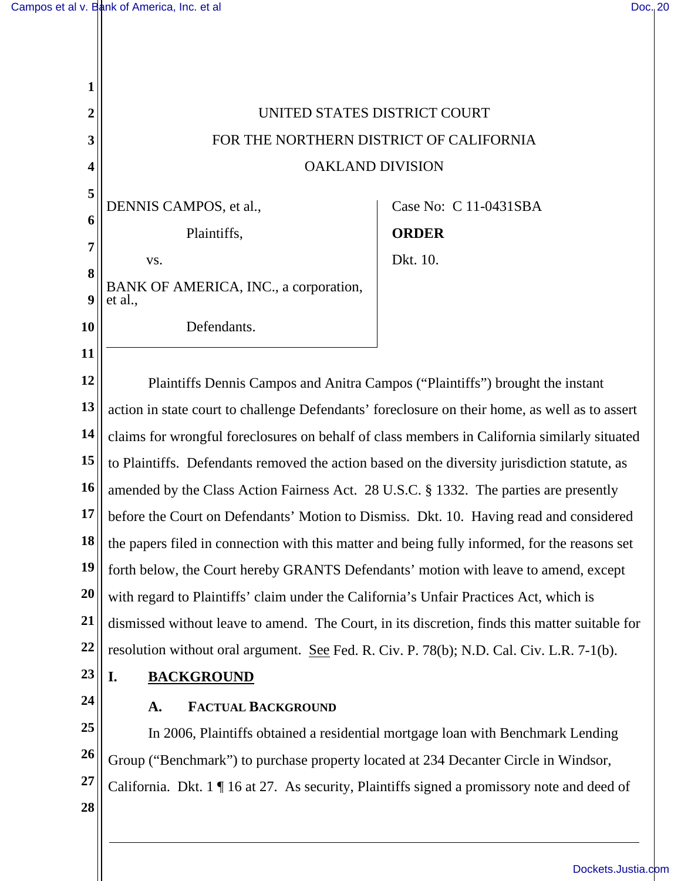| 1         |                                                                                                    |                                                                                 |  |
|-----------|----------------------------------------------------------------------------------------------------|---------------------------------------------------------------------------------|--|
| 2         | UNITED STATES DISTRICT COURT                                                                       |                                                                                 |  |
| 3         | FOR THE NORTHERN DISTRICT OF CALIFORNIA                                                            |                                                                                 |  |
| 4         | <b>OAKLAND DIVISION</b>                                                                            |                                                                                 |  |
| 5         | DENNIS CAMPOS, et al.,                                                                             | Case No: C 11-0431SBA                                                           |  |
| 6         | Plaintiffs,                                                                                        | <b>ORDER</b>                                                                    |  |
| 7         | VS.                                                                                                | Dkt. 10.                                                                        |  |
| 8         | BANK OF AMERICA, INC., a corporation,                                                              |                                                                                 |  |
| 9         | et al.,                                                                                            |                                                                                 |  |
| <b>10</b> | Defendants.                                                                                        |                                                                                 |  |
| 11        |                                                                                                    |                                                                                 |  |
| 12        | Plaintiffs Dennis Campos and Anitra Campos ("Plaintiffs") brought the instant                      |                                                                                 |  |
| 13        | action in state court to challenge Defendants' foreclosure on their home, as well as to assert     |                                                                                 |  |
| 14        | claims for wrongful foreclosures on behalf of class members in California similarly situated       |                                                                                 |  |
| 15        | to Plaintiffs. Defendants removed the action based on the diversity jurisdiction statute, as       |                                                                                 |  |
| 16        | amended by the Class Action Fairness Act. 28 U.S.C. § 1332. The parties are presently              |                                                                                 |  |
| 17        | before the Court on Defendants' Motion to Dismiss. Dkt. 10. Having read and considered             |                                                                                 |  |
| 18        | the papers filed in connection with this matter and being fully informed, for the reasons set      |                                                                                 |  |
| <b>19</b> | forth below, the Court hereby GRANTS Defendants' motion with leave to amend, except                |                                                                                 |  |
| <b>20</b> | with regard to Plaintiffs' claim under the California's Unfair Practices Act, which is             |                                                                                 |  |
| 21        | dismissed without leave to amend. The Court, in its discretion, finds this matter suitable for     |                                                                                 |  |
| 22        | resolution without oral argument. See Fed. R. Civ. P. 78(b); N.D. Cal. Civ. L.R. 7-1(b).           |                                                                                 |  |
| 23        | <b>BACKGROUND</b><br>I.                                                                            |                                                                                 |  |
| 24        | <b>FACTUAL BACKGROUND</b><br>A.                                                                    |                                                                                 |  |
| 25        |                                                                                                    | In 2006, Plaintiffs obtained a residential mortgage loan with Benchmark Lending |  |
| 26        | Group ("Benchmark") to purchase property located at 234 Decanter Circle in Windsor,                |                                                                                 |  |
| 27        | California. Dkt. $1 \nvert 16$ at 27. As security, Plaintiffs signed a promissory note and deed of |                                                                                 |  |
| 28        |                                                                                                    |                                                                                 |  |
|           |                                                                                                    |                                                                                 |  |

[Dockets.Justia.com](http://dockets.justia.com/)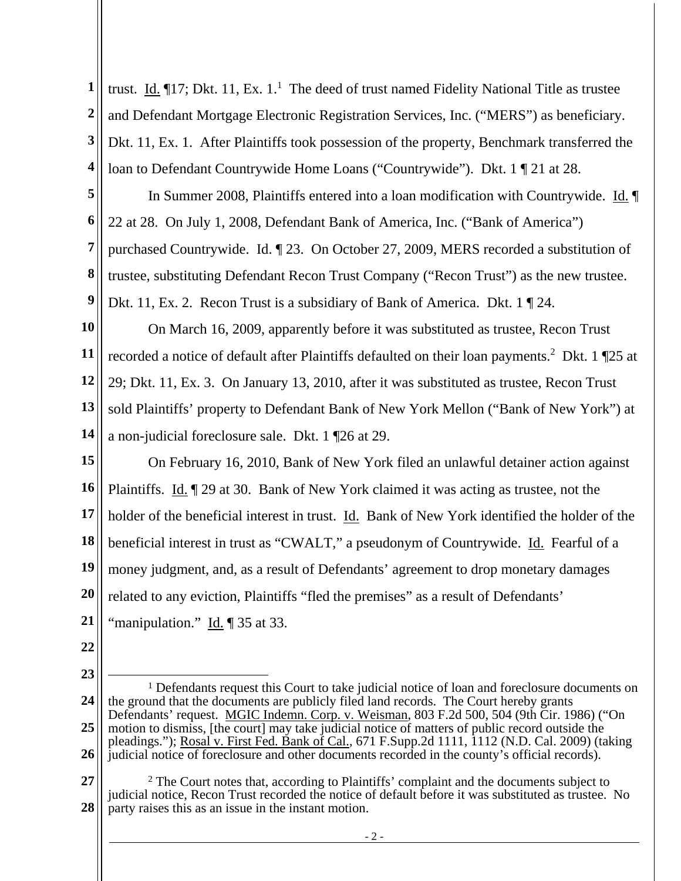**1 2 3 4**  trust. Id.  $\P$ 17; Dkt. 11, Ex. 1.<sup>1</sup> The deed of trust named Fidelity National Title as trustee and Defendant Mortgage Electronic Registration Services, Inc. ("MERS") as beneficiary. Dkt. 11, Ex. 1. After Plaintiffs took possession of the property, Benchmark transferred the loan to Defendant Countrywide Home Loans ("Countrywide"). Dkt. 1 ¶ 21 at 28.

**5 6 7 8 9**  In Summer 2008, Plaintiffs entered into a loan modification with Countrywide. Id. ¶ 22 at 28. On July 1, 2008, Defendant Bank of America, Inc. ("Bank of America") purchased Countrywide. Id. ¶ 23. On October 27, 2009, MERS recorded a substitution of trustee, substituting Defendant Recon Trust Company ("Recon Trust") as the new trustee. Dkt. 11, Ex. 2. Recon Trust is a subsidiary of Bank of America. Dkt. 1 . 24.

**10 11 12 13 14**  On March 16, 2009, apparently before it was substituted as trustee, Recon Trust recorded a notice of default after Plaintiffs defaulted on their loan payments.<sup>2</sup> Dkt. 1  $\P$ 25 at 29; Dkt. 11, Ex. 3. On January 13, 2010, after it was substituted as trustee, Recon Trust sold Plaintiffs' property to Defendant Bank of New York Mellon ("Bank of New York") at a non-judicial foreclosure sale. Dkt. 1 ¶26 at 29.

**15 16 17 18 19 20 21**  On February 16, 2010, Bank of New York filed an unlawful detainer action against Plaintiffs. Id. ¶ 29 at 30. Bank of New York claimed it was acting as trustee, not the holder of the beneficial interest in trust. Id. Bank of New York identified the holder of the beneficial interest in trust as "CWALT," a pseudonym of Countrywide. Id. Fearful of a money judgment, and, as a result of Defendants' agreement to drop monetary damages related to any eviction, Plaintiffs "fled the premises" as a result of Defendants' "manipulation." Id. ¶ 35 at 33.

- **22**
- **23**

**27 28**  2 The Court notes that, according to Plaintiffs' complaint and the documents subject to judicial notice, Recon Trust recorded the notice of default before it was substituted as trustee. No party raises this as an issue in the instant motion.

**<sup>24</sup>  25 26**  <sup>1</sup> Defendants request this Court to take judicial notice of loan and foreclosure documents on the ground that the documents are publicly filed land records. The Court hereby grants Defendants' request. MGIC Indemn. Corp. v. Weisman, 803 F.2d 500, 504 (9th Cir. 1986) ("On motion to dismiss, [the court] may take judicial notice of matters of public record outside the pleadings."); Rosal v. First Fed. Bank of Cal., 671 F.Supp.2d 1111, 1112 (N.D. Cal. 2009) (taking judicial notice of foreclosure and other documents recorded in the county's official records).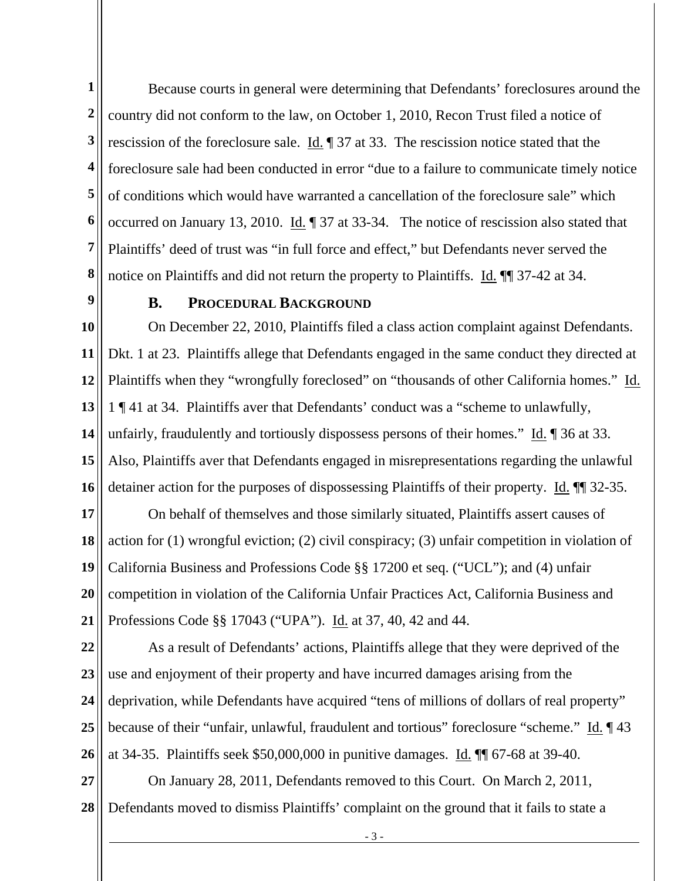**1 2 3 4 5 6 7 8**  Because courts in general were determining that Defendants' foreclosures around the country did not conform to the law, on October 1, 2010, Recon Trust filed a notice of rescission of the foreclosure sale. Id. ¶ 37 at 33. The rescission notice stated that the foreclosure sale had been conducted in error "due to a failure to communicate timely notice of conditions which would have warranted a cancellation of the foreclosure sale" which occurred on January 13, 2010. Id. ¶ 37 at 33-34. The notice of rescission also stated that Plaintiffs' deed of trust was "in full force and effect," but Defendants never served the notice on Plaintiffs and did not return the property to Plaintiffs. Id. ¶¶ 37-42 at 34.

**9** 

## **B. PROCEDURAL BACKGROUND**

**10 11 12 13 14 15 16**  On December 22, 2010, Plaintiffs filed a class action complaint against Defendants. Dkt. 1 at 23. Plaintiffs allege that Defendants engaged in the same conduct they directed at Plaintiffs when they "wrongfully foreclosed" on "thousands of other California homes." Id. 1 ¶ 41 at 34. Plaintiffs aver that Defendants' conduct was a "scheme to unlawfully, unfairly, fraudulently and tortiously dispossess persons of their homes." Id. 936 at 33. Also, Plaintiffs aver that Defendants engaged in misrepresentations regarding the unlawful detainer action for the purposes of dispossessing Plaintiffs of their property. Id.  $\P$  32-35.

**17 18 19 20 21**  On behalf of themselves and those similarly situated, Plaintiffs assert causes of action for (1) wrongful eviction; (2) civil conspiracy; (3) unfair competition in violation of California Business and Professions Code §§ 17200 et seq. ("UCL"); and (4) unfair competition in violation of the California Unfair Practices Act, California Business and Professions Code §§ 17043 ("UPA"). Id. at 37, 40, 42 and 44.

**22 23 24 25 26**  As a result of Defendants' actions, Plaintiffs allege that they were deprived of the use and enjoyment of their property and have incurred damages arising from the deprivation, while Defendants have acquired "tens of millions of dollars of real property" because of their "unfair, unlawful, fraudulent and tortious" foreclosure "scheme." Id. 143 at 34-35. Plaintiffs seek \$50,000,000 in punitive damages. Id. ¶¶ 67-68 at 39-40.

**27 28**  On January 28, 2011, Defendants removed to this Court. On March 2, 2011, Defendants moved to dismiss Plaintiffs' complaint on the ground that it fails to state a

- 3 -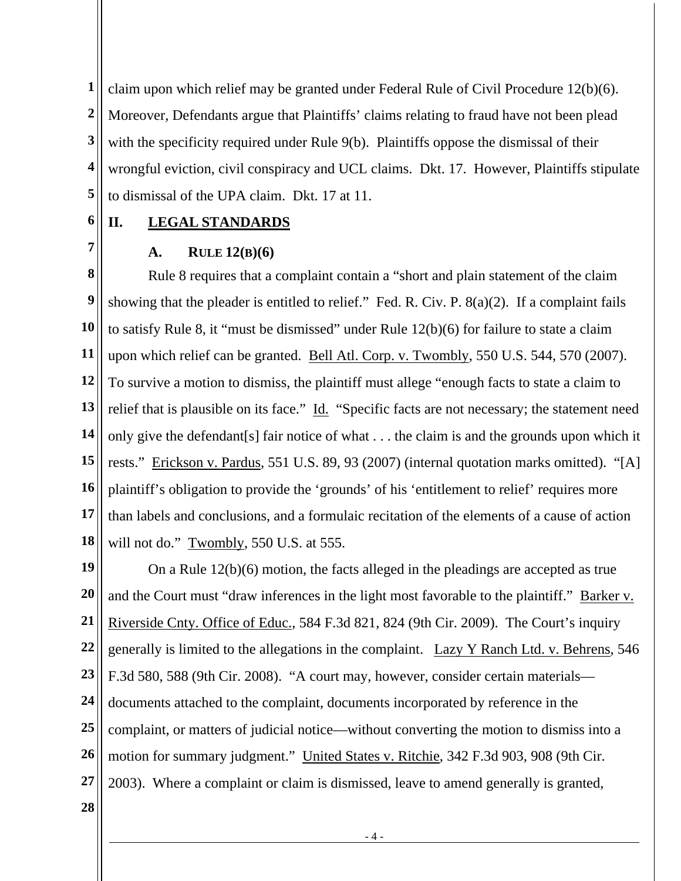**1 2 3 4 5**  claim upon which relief may be granted under Federal Rule of Civil Procedure 12(b)(6). Moreover, Defendants argue that Plaintiffs' claims relating to fraud have not been plead with the specificity required under Rule 9(b). Plaintiffs oppose the dismissal of their wrongful eviction, civil conspiracy and UCL claims. Dkt. 17. However, Plaintiffs stipulate to dismissal of the UPA claim. Dkt. 17 at 11.

**6** 

**7** 

# **II. LEGAL STANDARDS**

## **A. RULE 12(B)(6)**

**8 9 10 11 12 13 14 15 16 17 18**  Rule 8 requires that a complaint contain a "short and plain statement of the claim showing that the pleader is entitled to relief." Fed. R. Civ. P. 8(a)(2). If a complaint fails to satisfy Rule 8, it "must be dismissed" under Rule 12(b)(6) for failure to state a claim upon which relief can be granted. Bell Atl. Corp. v. Twombly, 550 U.S. 544, 570 (2007). To survive a motion to dismiss, the plaintiff must allege "enough facts to state a claim to relief that is plausible on its face." Id. "Specific facts are not necessary; the statement need only give the defendant[s] fair notice of what . . . the claim is and the grounds upon which it rests." Erickson v. Pardus, 551 U.S. 89, 93 (2007) (internal quotation marks omitted). "[A] plaintiff's obligation to provide the 'grounds' of his 'entitlement to relief' requires more than labels and conclusions, and a formulaic recitation of the elements of a cause of action will not do." Twombly, 550 U.S. at 555.

**19 20 21 22 23 24 25 26 27**  On a Rule 12(b)(6) motion, the facts alleged in the pleadings are accepted as true and the Court must "draw inferences in the light most favorable to the plaintiff." Barker v. Riverside Cnty. Office of Educ., 584 F.3d 821, 824 (9th Cir. 2009). The Court's inquiry generally is limited to the allegations in the complaint. Lazy Y Ranch Ltd. v. Behrens, 546 F.3d 580, 588 (9th Cir. 2008). "A court may, however, consider certain materials documents attached to the complaint, documents incorporated by reference in the complaint, or matters of judicial notice—without converting the motion to dismiss into a motion for summary judgment." United States v. Ritchie, 342 F.3d 903, 908 (9th Cir. 2003). Where a complaint or claim is dismissed, leave to amend generally is granted,

**28**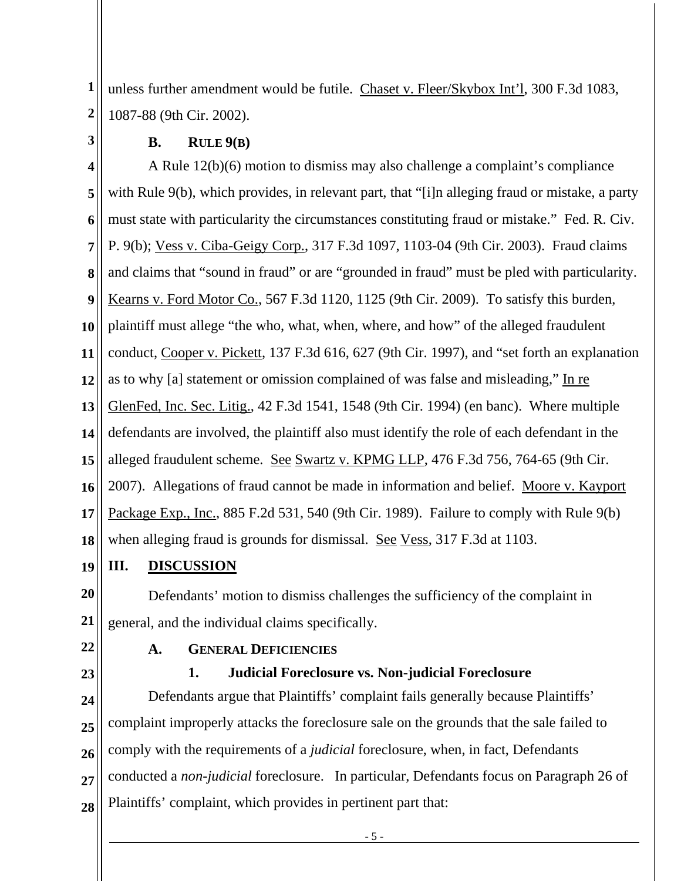**1 2**  unless further amendment would be futile. Chaset v. Fleer/Skybox Int'l, 300 F.3d 1083, 1087-88 (9th Cir. 2002).

**B. RULE 9(B)** 

**3** 

**4 5 6 7 8 9 10 11 12 13 14 15 16 17 18**  A Rule 12(b)(6) motion to dismiss may also challenge a complaint's compliance with Rule 9(b), which provides, in relevant part, that "[i]n alleging fraud or mistake, a party must state with particularity the circumstances constituting fraud or mistake." Fed. R. Civ. P. 9(b); Vess v. Ciba-Geigy Corp., 317 F.3d 1097, 1103-04 (9th Cir. 2003). Fraud claims and claims that "sound in fraud" or are "grounded in fraud" must be pled with particularity. Kearns v. Ford Motor Co., 567 F.3d 1120, 1125 (9th Cir. 2009). To satisfy this burden, plaintiff must allege "the who, what, when, where, and how" of the alleged fraudulent conduct, Cooper v. Pickett, 137 F.3d 616, 627 (9th Cir. 1997), and "set forth an explanation as to why [a] statement or omission complained of was false and misleading," In re GlenFed, Inc. Sec. Litig., 42 F.3d 1541, 1548 (9th Cir. 1994) (en banc). Where multiple defendants are involved, the plaintiff also must identify the role of each defendant in the alleged fraudulent scheme. See Swartz v. KPMG LLP, 476 F.3d 756, 764-65 (9th Cir. 2007). Allegations of fraud cannot be made in information and belief. Moore v. Kayport Package Exp., Inc., 885 F.2d 531, 540 (9th Cir. 1989). Failure to comply with Rule 9(b) when alleging fraud is grounds for dismissal. See Vess, 317 F.3d at 1103.

**19 III. DISCUSSION**

**20 21**  Defendants' motion to dismiss challenges the sufficiency of the complaint in general, and the individual claims specifically.

**22** 

**23** 

## **A. GENERAL DEFICIENCIES**

#### **1. Judicial Foreclosure vs. Non-judicial Foreclosure**

**24 25 26 27 28**  Defendants argue that Plaintiffs' complaint fails generally because Plaintiffs' complaint improperly attacks the foreclosure sale on the grounds that the sale failed to comply with the requirements of a *judicial* foreclosure, when, in fact, Defendants conducted a *non-judicial* foreclosure. In particular, Defendants focus on Paragraph 26 of Plaintiffs' complaint, which provides in pertinent part that: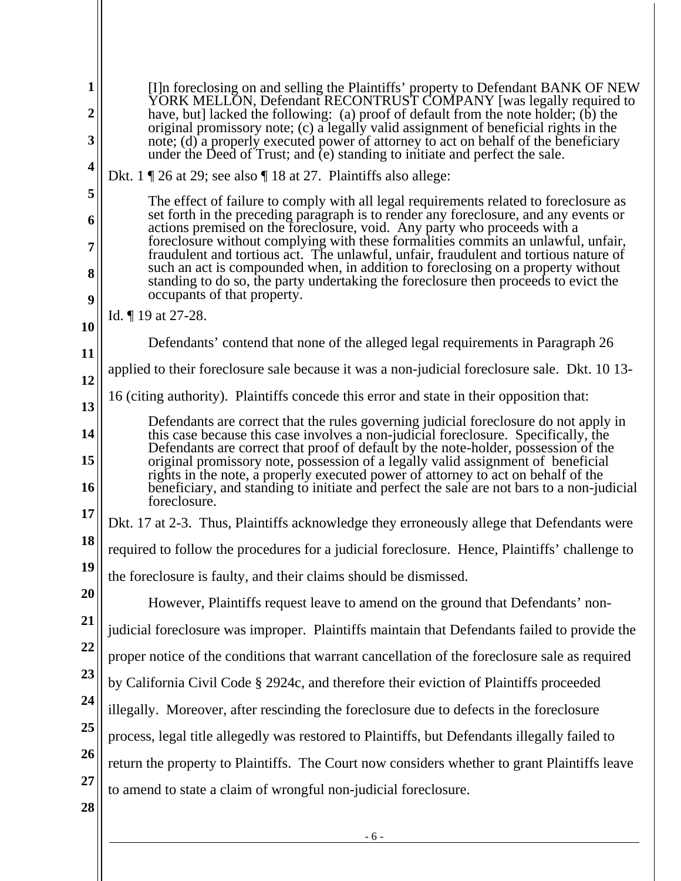| 1<br>$\overline{2}$<br>3<br>4 | [I]n foreclosing on and selling the Plaintiffs' property to Defendant BANK OF NEW<br>YORK MELLON, Defendant RECONTRUST COMPANY [was legally required to<br>have, but] lacked the following: (a) proof of default from the note holder; (b) the<br>original promissory note; (c) a legally valid assignment of beneficial rights in the<br>note; (d) a properly executed power of attorney to act on behalf of the beneficiary<br>under the Deed of Trust; and (e) standing to initiate and perfect the sale. |  |  |
|-------------------------------|--------------------------------------------------------------------------------------------------------------------------------------------------------------------------------------------------------------------------------------------------------------------------------------------------------------------------------------------------------------------------------------------------------------------------------------------------------------------------------------------------------------|--|--|
|                               | Dkt. 1 $\mathbb{Z}$ 26 at 29; see also $\mathbb{T}$ 18 at 27. Plaintiffs also allege:                                                                                                                                                                                                                                                                                                                                                                                                                        |  |  |
| 5                             | The effect of failure to comply with all legal requirements related to foreclosure as                                                                                                                                                                                                                                                                                                                                                                                                                        |  |  |
| 6                             | set forth in the preceding paragraph is to render any foreclosure, and any events or<br>actions premised on the foreclosure, void. Any party who proceeds with a                                                                                                                                                                                                                                                                                                                                             |  |  |
| 7                             | foreclosure without complying with these formalities commits an unlawful, unfair,<br>fraudulent and tortious act. The unlawful, unfair, fraudulent and tortious nature of                                                                                                                                                                                                                                                                                                                                    |  |  |
| 8                             | such an act is compounded when, in addition to foreclosing on a property without<br>standing to do so, the party undertaking the foreclosure then proceeds to evict the<br>occupants of that property.                                                                                                                                                                                                                                                                                                       |  |  |
| 9                             | Id. ¶ 19 at 27-28.                                                                                                                                                                                                                                                                                                                                                                                                                                                                                           |  |  |
| 10                            | Defendants' contend that none of the alleged legal requirements in Paragraph 26                                                                                                                                                                                                                                                                                                                                                                                                                              |  |  |
| 11<br>12                      | applied to their foreclosure sale because it was a non-judicial foreclosure sale. Dkt. 10 13-                                                                                                                                                                                                                                                                                                                                                                                                                |  |  |
| 13                            | 16 (citing authority). Plaintiffs concede this error and state in their opposition that:                                                                                                                                                                                                                                                                                                                                                                                                                     |  |  |
| 14                            | Defendants are correct that the rules governing judicial foreclosure do not apply in<br>this case because this case involves a non-judicial foreclosure. Specifically, the<br>Defendants are correct that proof of default by the note-holder, possession of the                                                                                                                                                                                                                                             |  |  |
| 15<br>16                      | original promissory note, possession of a legally valid assignment of beneficial<br>rights in the note, a properly executed power of attorney to act on behalf of the<br>beneficiary, and standing to initiate and perfect the sale are not bars to a non-judicial<br>foreclosure.                                                                                                                                                                                                                           |  |  |
| 17                            | Dkt. 17 at 2-3. Thus, Plaintiffs acknowledge they erroneously allege that Defendants were                                                                                                                                                                                                                                                                                                                                                                                                                    |  |  |
| 18                            | required to follow the procedures for a judicial foreclosure. Hence, Plaintiffs' challenge to                                                                                                                                                                                                                                                                                                                                                                                                                |  |  |
| 19                            | the foreclosure is faulty, and their claims should be dismissed.                                                                                                                                                                                                                                                                                                                                                                                                                                             |  |  |
| 20                            | However, Plaintiffs request leave to amend on the ground that Defendants' non-                                                                                                                                                                                                                                                                                                                                                                                                                               |  |  |
| 21                            | judicial foreclosure was improper. Plaintiffs maintain that Defendants failed to provide the                                                                                                                                                                                                                                                                                                                                                                                                                 |  |  |
| 22                            | proper notice of the conditions that warrant cancellation of the foreclosure sale as required                                                                                                                                                                                                                                                                                                                                                                                                                |  |  |
| 23                            | by California Civil Code § 2924c, and therefore their eviction of Plaintiffs proceeded                                                                                                                                                                                                                                                                                                                                                                                                                       |  |  |
| 24                            | illegally. Moreover, after rescinding the foreclosure due to defects in the foreclosure                                                                                                                                                                                                                                                                                                                                                                                                                      |  |  |
| 25                            | process, legal title allegedly was restored to Plaintiffs, but Defendants illegally failed to                                                                                                                                                                                                                                                                                                                                                                                                                |  |  |
| 26                            | return the property to Plaintiffs. The Court now considers whether to grant Plaintiffs leave                                                                                                                                                                                                                                                                                                                                                                                                                 |  |  |
| 27                            | to amend to state a claim of wrongful non-judicial foreclosure.                                                                                                                                                                                                                                                                                                                                                                                                                                              |  |  |
| 28                            |                                                                                                                                                                                                                                                                                                                                                                                                                                                                                                              |  |  |
|                               | $-6-$                                                                                                                                                                                                                                                                                                                                                                                                                                                                                                        |  |  |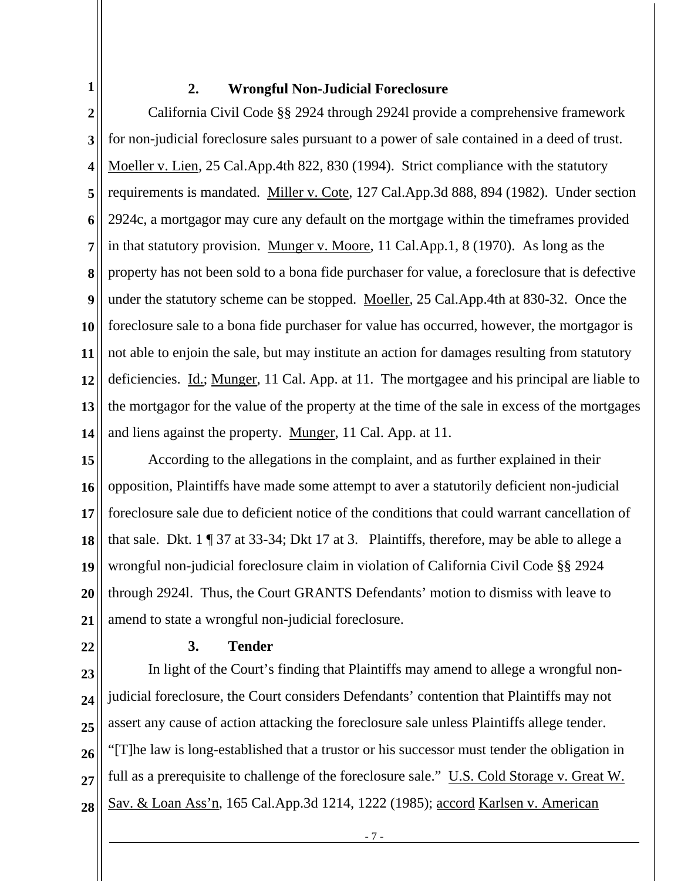**1** 

#### **2. Wrongful Non-Judicial Foreclosure**

**2 3 4 5 6 7 8 9 10 11 12 13 14**  California Civil Code §§ 2924 through 2924l provide a comprehensive framework for non-judicial foreclosure sales pursuant to a power of sale contained in a deed of trust. Moeller v. Lien, 25 Cal.App.4th 822, 830 (1994). Strict compliance with the statutory requirements is mandated. Miller v. Cote, 127 Cal.App.3d 888, 894 (1982). Under section 2924c, a mortgagor may cure any default on the mortgage within the timeframes provided in that statutory provision. Munger v. Moore, 11 Cal.App.1, 8 (1970). As long as the property has not been sold to a bona fide purchaser for value, a foreclosure that is defective under the statutory scheme can be stopped. Moeller, 25 Cal.App.4th at 830-32. Once the foreclosure sale to a bona fide purchaser for value has occurred, however, the mortgagor is not able to enjoin the sale, but may institute an action for damages resulting from statutory deficiencies. *Id.*; *Munger*, 11 Cal. App. at 11. The mortgagee and his principal are liable to the mortgagor for the value of the property at the time of the sale in excess of the mortgages and liens against the property. Munger, 11 Cal. App. at 11.

**15 16 17 18 19 20 21**  According to the allegations in the complaint, and as further explained in their opposition, Plaintiffs have made some attempt to aver a statutorily deficient non-judicial foreclosure sale due to deficient notice of the conditions that could warrant cancellation of that sale. Dkt. 1 ¶ 37 at 33-34; Dkt 17 at 3. Plaintiffs, therefore, may be able to allege a wrongful non-judicial foreclosure claim in violation of California Civil Code §§ 2924 through 2924l. Thus, the Court GRANTS Defendants' motion to dismiss with leave to amend to state a wrongful non-judicial foreclosure.

**22** 

# **3. Tender**

**23 24 25 26 27 28**  In light of the Court's finding that Plaintiffs may amend to allege a wrongful nonjudicial foreclosure, the Court considers Defendants' contention that Plaintiffs may not assert any cause of action attacking the foreclosure sale unless Plaintiffs allege tender. "[T]he law is long-established that a trustor or his successor must tender the obligation in full as a prerequisite to challenge of the foreclosure sale." U.S. Cold Storage v. Great W. Sav. & Loan Ass'n, 165 Cal.App.3d 1214, 1222 (1985); accord Karlsen v. American

- 7 -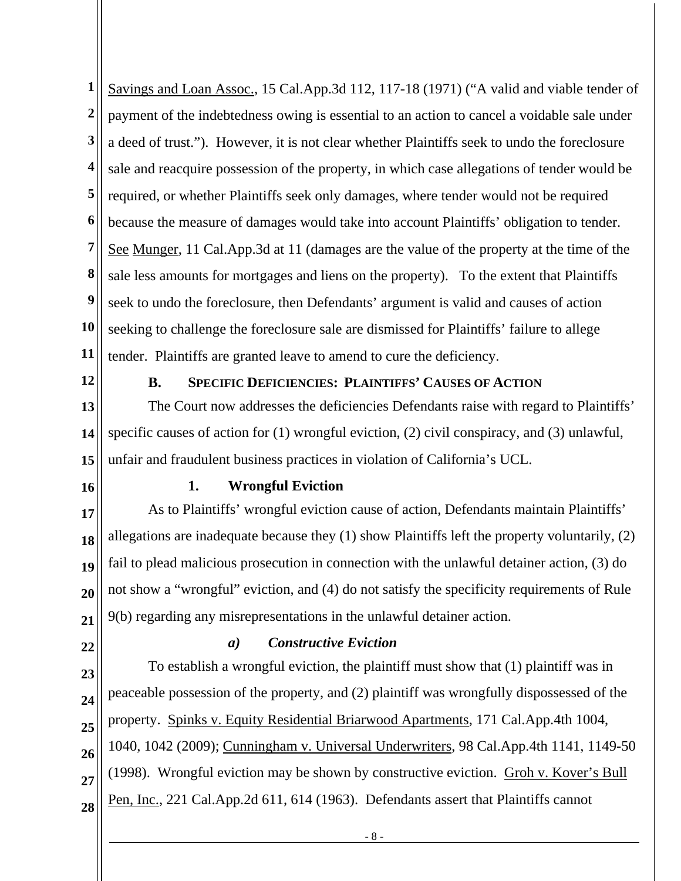**1 2 3 4 5 6 7 8 9 10 11**  Savings and Loan Assoc., 15 Cal.App.3d 112, 117-18 (1971) ("A valid and viable tender of payment of the indebtedness owing is essential to an action to cancel a voidable sale under a deed of trust."). However, it is not clear whether Plaintiffs seek to undo the foreclosure sale and reacquire possession of the property, in which case allegations of tender would be required, or whether Plaintiffs seek only damages, where tender would not be required because the measure of damages would take into account Plaintiffs' obligation to tender. See Munger, 11 Cal.App.3d at 11 (damages are the value of the property at the time of the sale less amounts for mortgages and liens on the property). To the extent that Plaintiffs seek to undo the foreclosure, then Defendants' argument is valid and causes of action seeking to challenge the foreclosure sale are dismissed for Plaintiffs' failure to allege tender. Plaintiffs are granted leave to amend to cure the deficiency.

**12** 

#### **B. SPECIFIC DEFICIENCIES: PLAINTIFFS' CAUSES OF ACTION**

**13 14 15**  The Court now addresses the deficiencies Defendants raise with regard to Plaintiffs' specific causes of action for (1) wrongful eviction, (2) civil conspiracy, and (3) unlawful, unfair and fraudulent business practices in violation of California's UCL.

**16** 

#### **1. Wrongful Eviction**

**17 18 19 20 21**  As to Plaintiffs' wrongful eviction cause of action, Defendants maintain Plaintiffs' allegations are inadequate because they (1) show Plaintiffs left the property voluntarily, (2) fail to plead malicious prosecution in connection with the unlawful detainer action, (3) do not show a "wrongful" eviction, and (4) do not satisfy the specificity requirements of Rule 9(b) regarding any misrepresentations in the unlawful detainer action.

**22** 

## *a) Constructive Eviction*

**23 24 25 26 27 28**  To establish a wrongful eviction, the plaintiff must show that (1) plaintiff was in peaceable possession of the property, and (2) plaintiff was wrongfully dispossessed of the property. Spinks v. Equity Residential Briarwood Apartments, 171 Cal.App.4th 1004, 1040, 1042 (2009); Cunningham v. Universal Underwriters, 98 Cal.App.4th 1141, 1149-50 (1998). Wrongful eviction may be shown by constructive eviction. Groh v. Kover's Bull Pen, Inc., 221 Cal.App.2d 611, 614 (1963). Defendants assert that Plaintiffs cannot

- 8 -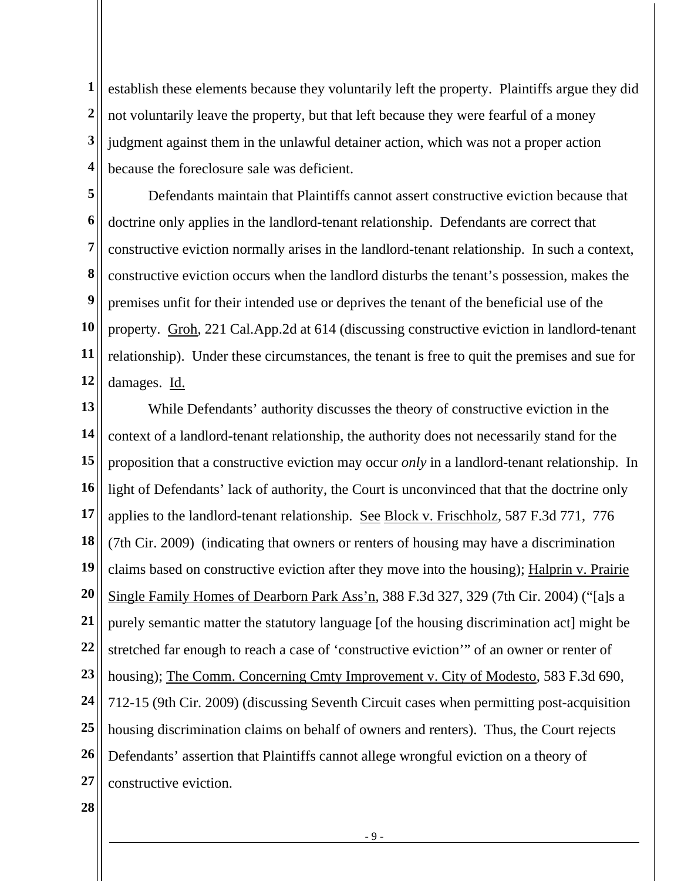**1 2 3 4**  establish these elements because they voluntarily left the property. Plaintiffs argue they did not voluntarily leave the property, but that left because they were fearful of a money judgment against them in the unlawful detainer action, which was not a proper action because the foreclosure sale was deficient.

**5 6 7 8 9 10 11 12**  Defendants maintain that Plaintiffs cannot assert constructive eviction because that doctrine only applies in the landlord-tenant relationship. Defendants are correct that constructive eviction normally arises in the landlord-tenant relationship. In such a context, constructive eviction occurs when the landlord disturbs the tenant's possession, makes the premises unfit for their intended use or deprives the tenant of the beneficial use of the property. Groh, 221 Cal.App.2d at 614 (discussing constructive eviction in landlord-tenant relationship). Under these circumstances, the tenant is free to quit the premises and sue for damages. Id.

**13 14 15 16 17 18 19 20 21 22 23 24 25 26 27**  While Defendants' authority discusses the theory of constructive eviction in the context of a landlord-tenant relationship, the authority does not necessarily stand for the proposition that a constructive eviction may occur *only* in a landlord-tenant relationship. In light of Defendants' lack of authority, the Court is unconvinced that that the doctrine only applies to the landlord-tenant relationship. See Block v. Frischholz, 587 F.3d 771, 776 (7th Cir. 2009) (indicating that owners or renters of housing may have a discrimination claims based on constructive eviction after they move into the housing); Halprin v. Prairie Single Family Homes of Dearborn Park Ass'n, 388 F.3d 327, 329 (7th Cir. 2004) ("[a]s a purely semantic matter the statutory language [of the housing discrimination act] might be stretched far enough to reach a case of 'constructive eviction'" of an owner or renter of housing); The Comm. Concerning Cmty Improvement v. City of Modesto, 583 F.3d 690, 712-15 (9th Cir. 2009) (discussing Seventh Circuit cases when permitting post-acquisition housing discrimination claims on behalf of owners and renters). Thus, the Court rejects Defendants' assertion that Plaintiffs cannot allege wrongful eviction on a theory of constructive eviction.

**28** 

- 9 -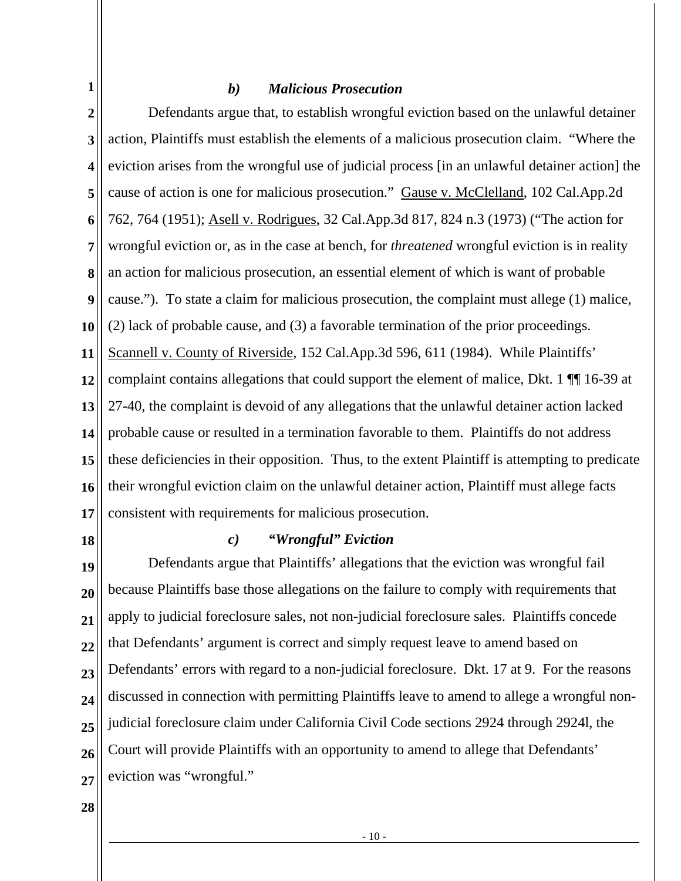#### *b) Malicious Prosecution*

**2 3 4 5 6 7 8 9 10 11 12 13 14 15 16 17**  Defendants argue that, to establish wrongful eviction based on the unlawful detainer action, Plaintiffs must establish the elements of a malicious prosecution claim. "Where the eviction arises from the wrongful use of judicial process [in an unlawful detainer action] the cause of action is one for malicious prosecution." Gause v. McClelland, 102 Cal.App.2d 762, 764 (1951); Asell v. Rodrigues, 32 Cal.App.3d 817, 824 n.3 (1973) ("The action for wrongful eviction or, as in the case at bench, for *threatened* wrongful eviction is in reality an action for malicious prosecution, an essential element of which is want of probable cause."). To state a claim for malicious prosecution, the complaint must allege (1) malice, (2) lack of probable cause, and (3) a favorable termination of the prior proceedings. Scannell v. County of Riverside, 152 Cal.App.3d 596, 611 (1984). While Plaintiffs' complaint contains allegations that could support the element of malice, Dkt. 1 ¶¶ 16-39 at 27-40, the complaint is devoid of any allegations that the unlawful detainer action lacked probable cause or resulted in a termination favorable to them. Plaintiffs do not address these deficiencies in their opposition. Thus, to the extent Plaintiff is attempting to predicate their wrongful eviction claim on the unlawful detainer action, Plaintiff must allege facts consistent with requirements for malicious prosecution.

**18** 

**1** 

#### *c) "Wrongful" Eviction*

**19 20 21 22 23 24 25 26 27**  Defendants argue that Plaintiffs' allegations that the eviction was wrongful fail because Plaintiffs base those allegations on the failure to comply with requirements that apply to judicial foreclosure sales, not non-judicial foreclosure sales. Plaintiffs concede that Defendants' argument is correct and simply request leave to amend based on Defendants' errors with regard to a non-judicial foreclosure. Dkt. 17 at 9. For the reasons discussed in connection with permitting Plaintiffs leave to amend to allege a wrongful nonjudicial foreclosure claim under California Civil Code sections 2924 through 2924l, the Court will provide Plaintiffs with an opportunity to amend to allege that Defendants' eviction was "wrongful."

**28**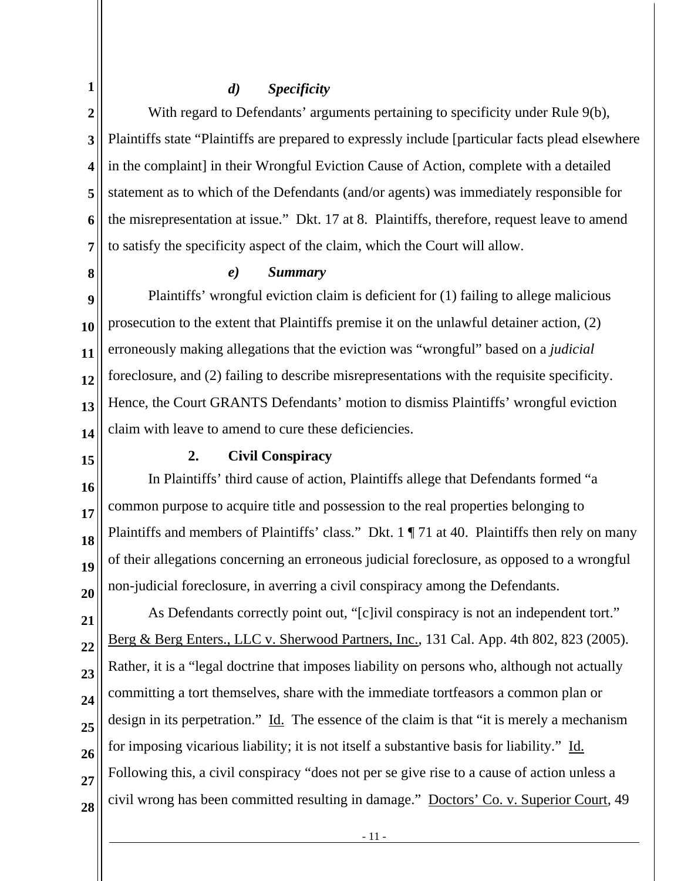## *d) Specificity*

**2 3 4 5 6 7**  With regard to Defendants' arguments pertaining to specificity under Rule 9(b), Plaintiffs state "Plaintiffs are prepared to expressly include [particular facts plead elsewhere in the complaint] in their Wrongful Eviction Cause of Action, complete with a detailed statement as to which of the Defendants (and/or agents) was immediately responsible for the misrepresentation at issue." Dkt. 17 at 8. Plaintiffs, therefore, request leave to amend to satisfy the specificity aspect of the claim, which the Court will allow.

**8** 

**1** 

#### *e) Summary*

**9 10 11 12 13 14**  Plaintiffs' wrongful eviction claim is deficient for (1) failing to allege malicious prosecution to the extent that Plaintiffs premise it on the unlawful detainer action, (2) erroneously making allegations that the eviction was "wrongful" based on a *judicial* foreclosure, and (2) failing to describe misrepresentations with the requisite specificity. Hence, the Court GRANTS Defendants' motion to dismiss Plaintiffs' wrongful eviction claim with leave to amend to cure these deficiencies.

**15** 

#### **2. Civil Conspiracy**

**16 17 18 19 20**  In Plaintiffs' third cause of action, Plaintiffs allege that Defendants formed "a common purpose to acquire title and possession to the real properties belonging to Plaintiffs and members of Plaintiffs' class." Dkt. 1 ¶ 71 at 40. Plaintiffs then rely on many of their allegations concerning an erroneous judicial foreclosure, as opposed to a wrongful non-judicial foreclosure, in averring a civil conspiracy among the Defendants.

**21 22 23 24 25 26 27 28**  As Defendants correctly point out, "[c]ivil conspiracy is not an independent tort." Berg & Berg Enters., LLC v. Sherwood Partners, Inc., 131 Cal. App. 4th 802, 823 (2005). Rather, it is a "legal doctrine that imposes liability on persons who, although not actually committing a tort themselves, share with the immediate tortfeasors a common plan or design in its perpetration." Id. The essence of the claim is that "it is merely a mechanism for imposing vicarious liability; it is not itself a substantive basis for liability." Id. Following this, a civil conspiracy "does not per se give rise to a cause of action unless a civil wrong has been committed resulting in damage." Doctors' Co. v. Superior Court, 49

- 11 -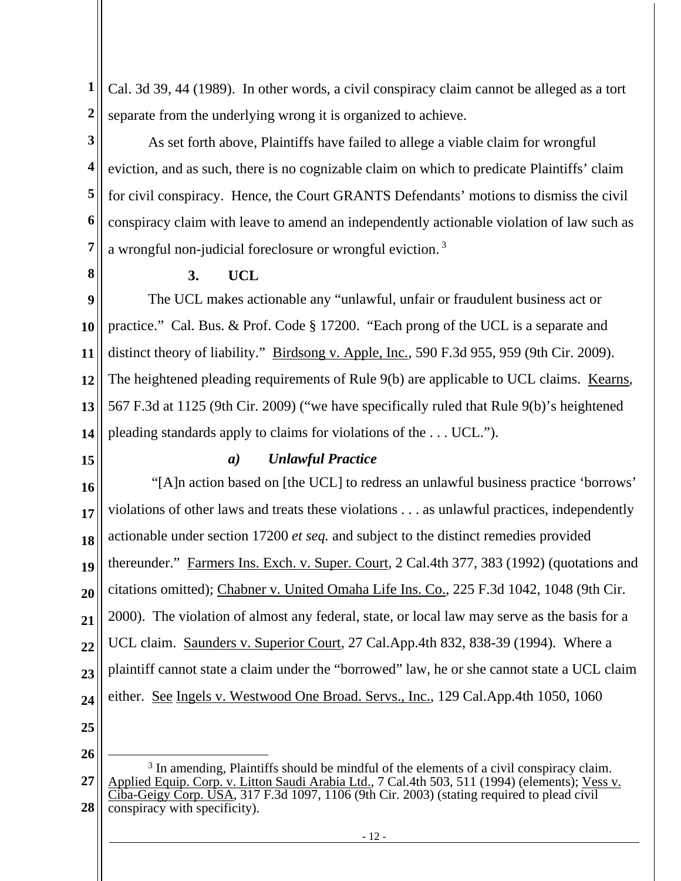**1 2**  Cal. 3d 39, 44 (1989). In other words, a civil conspiracy claim cannot be alleged as a tort separate from the underlying wrong it is organized to achieve.

**3 4 5 6 7**  As set forth above, Plaintiffs have failed to allege a viable claim for wrongful eviction, and as such, there is no cognizable claim on which to predicate Plaintiffs' claim for civil conspiracy. Hence, the Court GRANTS Defendants' motions to dismiss the civil conspiracy claim with leave to amend an independently actionable violation of law such as a wrongful non-judicial foreclosure or wrongful eviction.<sup>3</sup>

**8** 

# **3. UCL**

**9 10 11 12 13 14**  The UCL makes actionable any "unlawful, unfair or fraudulent business act or practice." Cal. Bus. & Prof. Code § 17200. "Each prong of the UCL is a separate and distinct theory of liability." Birdsong v. Apple, Inc., 590 F.3d 955, 959 (9th Cir. 2009). The heightened pleading requirements of Rule 9(b) are applicable to UCL claims. Kearns, 567 F.3d at 1125 (9th Cir. 2009) ("we have specifically ruled that Rule 9(b)'s heightened pleading standards apply to claims for violations of the . . . UCL.").

**15** 

# *a) Unlawful Practice*

**16 17 18 19 20 21 22 23 24 25**  "[A]n action based on [the UCL] to redress an unlawful business practice 'borrows' violations of other laws and treats these violations . . . as unlawful practices, independently actionable under section 17200 *et seq.* and subject to the distinct remedies provided thereunder." Farmers Ins. Exch. v. Super. Court, 2 Cal.4th 377, 383 (1992) (quotations and citations omitted); Chabner v. United Omaha Life Ins. Co., 225 F.3d 1042, 1048 (9th Cir. 2000). The violation of almost any federal, state, or local law may serve as the basis for a UCL claim. Saunders v. Superior Court, 27 Cal.App.4th 832, 838-39 (1994). Where a plaintiff cannot state a claim under the "borrowed" law, he or she cannot state a UCL claim either. See Ingels v. Westwood One Broad. Servs., Inc., 129 Cal.App.4th 1050, 1060

**26** 

**<sup>27</sup>  28**  <sup>3</sup> In amending, Plaintiffs should be mindful of the elements of a civil conspiracy claim. Applied Equip. Corp. v. Litton Saudi Arabia Ltd., 7 Cal.4th 503, 511 (1994) (elements); Vess v. Ciba-Geigy Corp. USA, 317 F.3d 1097, 1106 (9th Cir. 2003) (stating required to plead civil conspiracy with specificity).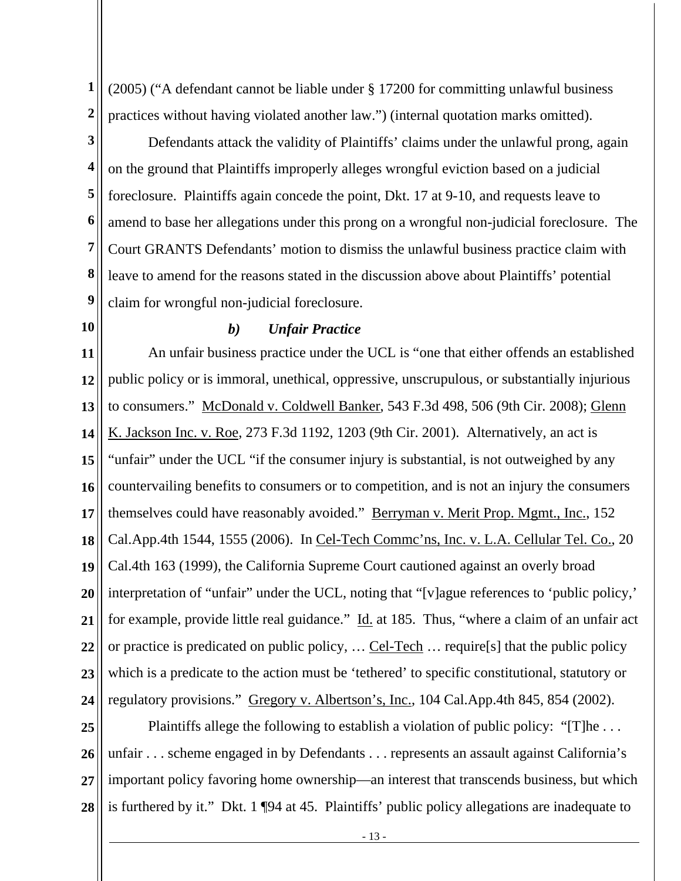**1 2**  (2005) ("A defendant cannot be liable under § 17200 for committing unlawful business practices without having violated another law.") (internal quotation marks omitted).

**3** 

**4 5 6 7 8 9**  Defendants attack the validity of Plaintiffs' claims under the unlawful prong, again on the ground that Plaintiffs improperly alleges wrongful eviction based on a judicial foreclosure. Plaintiffs again concede the point, Dkt. 17 at 9-10, and requests leave to amend to base her allegations under this prong on a wrongful non-judicial foreclosure. The Court GRANTS Defendants' motion to dismiss the unlawful business practice claim with leave to amend for the reasons stated in the discussion above about Plaintiffs' potential claim for wrongful non-judicial foreclosure.

**10** 

### *b) Unfair Practice*

**11 12 13 14 15 16 17 18 19 20 21 22 23 24**  An unfair business practice under the UCL is "one that either offends an established public policy or is immoral, unethical, oppressive, unscrupulous, or substantially injurious to consumers." McDonald v. Coldwell Banker, 543 F.3d 498, 506 (9th Cir. 2008); Glenn K. Jackson Inc. v. Roe, 273 F.3d 1192, 1203 (9th Cir. 2001). Alternatively, an act is "unfair" under the UCL "if the consumer injury is substantial, is not outweighed by any countervailing benefits to consumers or to competition, and is not an injury the consumers themselves could have reasonably avoided." Berryman v. Merit Prop. Mgmt., Inc., 152 Cal.App.4th 1544, 1555 (2006). In Cel-Tech Commc'ns, Inc. v. L.A. Cellular Tel. Co., 20 Cal.4th 163 (1999), the California Supreme Court cautioned against an overly broad interpretation of "unfair" under the UCL, noting that "[v]ague references to 'public policy,' for example, provide little real guidance." Id. at 185. Thus, "where a claim of an unfair act or practice is predicated on public policy, … Cel-Tech … require[s] that the public policy which is a predicate to the action must be 'tethered' to specific constitutional, statutory or regulatory provisions." Gregory v. Albertson's, Inc., 104 Cal.App.4th 845, 854 (2002).

**25 26 27 28**  Plaintiffs allege the following to establish a violation of public policy: "[T]he ... unfair . . . scheme engaged in by Defendants . . . represents an assault against California's important policy favoring home ownership—an interest that transcends business, but which is furthered by it." Dkt. 1 ¶94 at 45. Plaintiffs' public policy allegations are inadequate to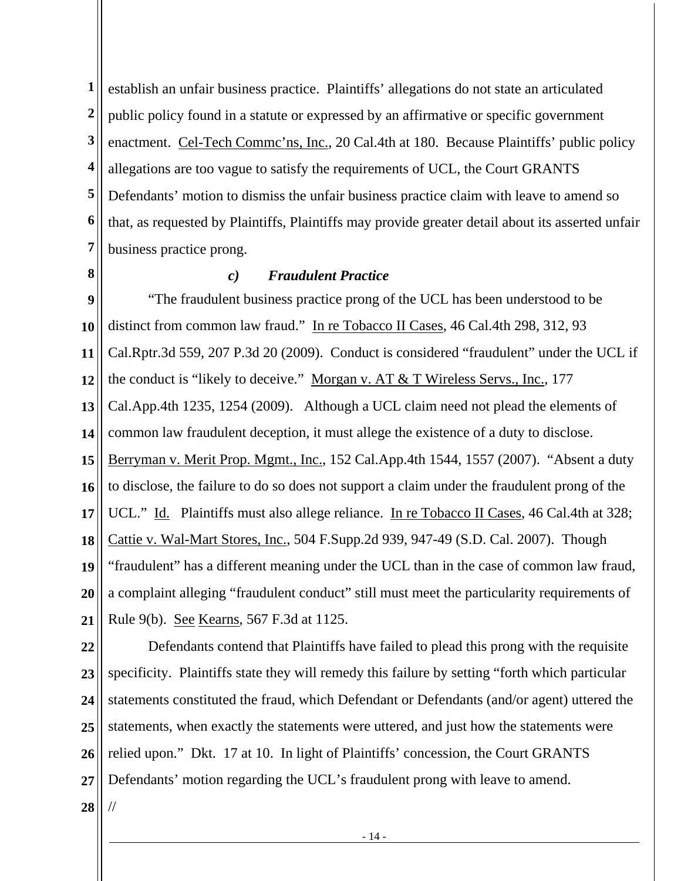**1 2 3 4 5 6 7**  establish an unfair business practice. Plaintiffs' allegations do not state an articulated public policy found in a statute or expressed by an affirmative or specific government enactment. Cel-Tech Commc'ns, Inc., 20 Cal.4th at 180. Because Plaintiffs' public policy allegations are too vague to satisfy the requirements of UCL, the Court GRANTS Defendants' motion to dismiss the unfair business practice claim with leave to amend so that, as requested by Plaintiffs, Plaintiffs may provide greater detail about its asserted unfair business practice prong.

**8** 

## *c) Fraudulent Practice*

**9 10 11 12 13 14 15 16 17 18 19 20 21**  "The fraudulent business practice prong of the UCL has been understood to be distinct from common law fraud." In re Tobacco II Cases, 46 Cal.4th 298, 312, 93 Cal.Rptr.3d 559, 207 P.3d 20 (2009). Conduct is considered "fraudulent" under the UCL if the conduct is "likely to deceive." Morgan v. AT & T Wireless Servs., Inc., 177 Cal.App.4th 1235, 1254 (2009). Although a UCL claim need not plead the elements of common law fraudulent deception, it must allege the existence of a duty to disclose. Berryman v. Merit Prop. Mgmt., Inc., 152 Cal.App.4th 1544, 1557 (2007). "Absent a duty to disclose, the failure to do so does not support a claim under the fraudulent prong of the UCL." Id. Plaintiffs must also allege reliance. In re Tobacco II Cases, 46 Cal.4th at 328; Cattie v. Wal-Mart Stores, Inc., 504 F.Supp.2d 939, 947-49 (S.D. Cal. 2007). Though "fraudulent" has a different meaning under the UCL than in the case of common law fraud, a complaint alleging "fraudulent conduct" still must meet the particularity requirements of Rule 9(b). See Kearns, 567 F.3d at 1125.

**22 23 24 25 26 27**  Defendants contend that Plaintiffs have failed to plead this prong with the requisite specificity. Plaintiffs state they will remedy this failure by setting "forth which particular statements constituted the fraud, which Defendant or Defendants (and/or agent) uttered the statements, when exactly the statements were uttered, and just how the statements were relied upon." Dkt. 17 at 10. In light of Plaintiffs' concession, the Court GRANTS Defendants' motion regarding the UCL's fraudulent prong with leave to amend.

**28** 

//